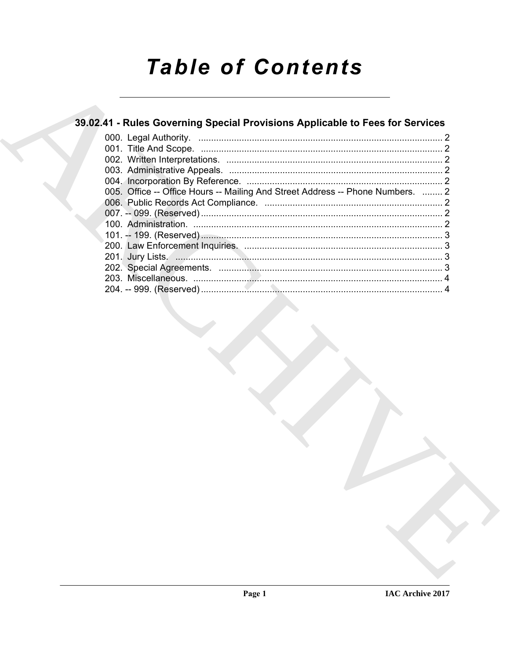# **Table of Contents**

## 39.02.41 - Rules Governing Special Provisions Applicable to Fees for Services

| 005. Office -- Office Hours -- Mailing And Street Address -- Phone Numbers.  2 |  |
|--------------------------------------------------------------------------------|--|
|                                                                                |  |
|                                                                                |  |
|                                                                                |  |
|                                                                                |  |
|                                                                                |  |
|                                                                                |  |
|                                                                                |  |
|                                                                                |  |
|                                                                                |  |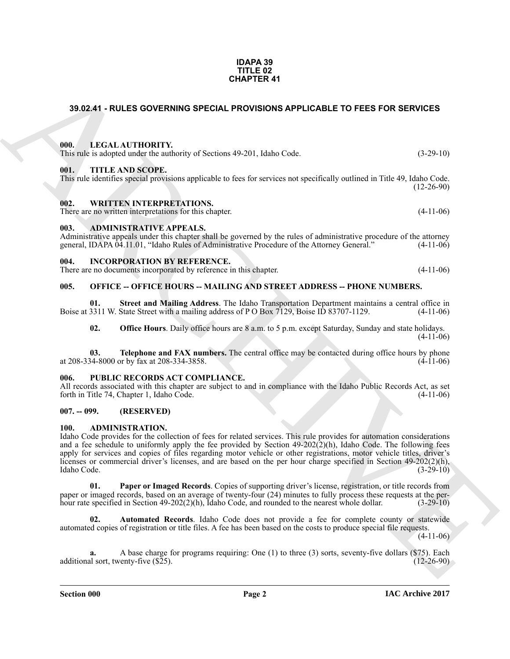#### **IDAPA 39 TITLE 02 CHAPTER 41**

### <span id="page-1-0"></span>**39.02.41 - RULES GOVERNING SPECIAL PROVISIONS APPLICABLE TO FEES FOR SERVICES**

#### <span id="page-1-1"></span>**000. LEGAL AUTHORITY.**

| This rule is adopted under the authority of Sections 49-201, Idaho Code. | $(3-29-10)$      |  |
|--------------------------------------------------------------------------|------------------|--|
|                                                                          |                  |  |
| 001.                                                                     | TITLE AND SCOPE. |  |

#### <span id="page-1-2"></span>This rule identifies special provisions applicable to fees for services not specifically outlined in Title 49, Idaho Code.  $(12-26-90)$

<span id="page-1-3"></span>**002. WRITTEN INTERPRETATIONS.**

There are no written interpretations for this chapter. (4-11-06)

#### <span id="page-1-4"></span>**003. ADMINISTRATIVE APPEALS.**

Administrative appeals under this chapter shall be governed by the rules of administrative procedure of the attorney general, IDAPA 04.11.01, "Idaho Rules of Administrative Procedure of the Attorney General." (4-11-06)

#### <span id="page-1-5"></span>**004. INCORPORATION BY REFERENCE.**

| There are no documents incorporated by reference in this chapter. |  |  |  |  | $(4-11-06)$ |
|-------------------------------------------------------------------|--|--|--|--|-------------|
|-------------------------------------------------------------------|--|--|--|--|-------------|

#### <span id="page-1-6"></span>**005. OFFICE -- OFFICE HOURS -- MAILING AND STREET ADDRESS -- PHONE NUMBERS.**

**01.** Street and Mailing Address. The Idaho Transportation Department maintains a central office in 3311 W. State Street with a mailing address of P O Box 7129, Boise ID 83707-1129. (4-11-06) Boise at 3311 W. State Street with a mailing address of P O Box 7129, Boise ID 83707-1129.

**02. Office Hours**. Daily office hours are 8 a.m. to 5 p.m. except Saturday, Sunday and state holidays.  $(4-11-06)$ 

**03. Telephone and FAX numbers.** The central office may be contacted during office hours by phone 34-8000 or by fax at 208-334-3858. at 208-334-8000 or by fax at 208-334-3858.

#### <span id="page-1-7"></span>**006. PUBLIC RECORDS ACT COMPLIANCE.**

All records associated with this chapter are subject to and in compliance with the Idaho Public Records Act, as set forth in Title 74, Chapter 1, Idaho Code. (4-11-06)

#### <span id="page-1-8"></span>**007. -- 099. (RESERVED)**

#### <span id="page-1-10"></span><span id="page-1-9"></span>**100. ADMINISTRATION.**

**39.02.41 - RULES GOVERNING SPECIAL PROVISIONS APPLICABLE TO FEES FOR SERVICES<br>
19. LIEGAL AUTHORITY, and the Same of School API Library and the Same of the Same of the Same of the Same of the Same of the Same of the Same** Idaho Code provides for the collection of fees for related services. This rule provides for automation considerations and a fee schedule to uniformly apply the fee provided by Section  $49-202(2)(h)$ , Idaho Code. The following fees apply for services and copies of files regarding motor vehicle or other registrations, motor vehicle titles, driver's licenses or commercial driver's licenses, and are based on the per hour charge specified in Section 49-202(2)(h),<br>Idaho Code. (3-29-10) Idaho Code. (3-29-10)

<span id="page-1-12"></span>**01. Paper or Imaged Records**. Copies of supporting driver's license, registration, or title records from paper or imaged records, based on an average of twenty-four (24) minutes to fully process these requests at the per-<br>hour rate specified in Section 49-202(2)(h). Idaho Code, and rounded to the nearest whole dollar. (3-29-1 hour rate specified in Section  $49-202(2)(h)$ , Idaho Code, and rounded to the nearest whole dollar.

<span id="page-1-11"></span>**02. Automated Records**. Idaho Code does not provide a fee for complete county or statewide automated copies of registration or title files. A fee has been based on the costs to produce special file requests.

 $(4-11-06)$ 

**a.** A base charge for programs requiring: One (1) to three (3) sorts, seventy-five dollars (\$75). Each lal sort, twenty-five (\$25). additional sort, twenty-five (\$25).

**Section 000 Page 2**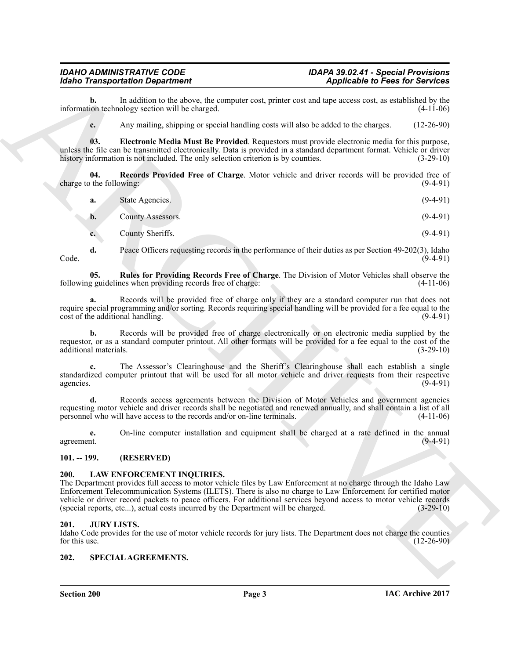#### *IDAHO ADMINISTRATIVE CODE IDAPA 39.02.41 - Special Provisions Idaho Transportation Department Applicable to Fees for Services*

**b.** In addition to the above, the computer cost, printer cost and tape access cost, as established by the ion technology section will be charged.  $(4-11-06)$ information technology section will be charged.

<span id="page-2-4"></span>**c.** Any mailing, shipping or special handling costs will also be added to the charges. (12-26-90)

**03. Electronic Media Must Be Provided**. Requestors must provide electronic media for this purpose, unless the file can be transmitted electronically. Data is provided in a standard department format. Vehicle or driver history information is not included. The only selection criterion is by counties. (3-29-10)

**04.** Records Provided Free of Charge. Motor vehicle and driver records will be provided free of the following: (9-4-91) charge to the following:

<span id="page-2-5"></span>

| a. | State Agencies. | $(9-4-91)$ |
|----|-----------------|------------|
|    |                 |            |

**b.** County Assessors. (9-4-91)

<span id="page-2-6"></span>**c.** County Sheriffs. (9-4-91)

**d.** Peace Officers requesting records in the performance of their duties as per Section 49-202(3), Idaho (9-4-91) Code. (9-4-91)

**05.** Rules for Providing Records Free of Charge. The Division of Motor Vehicles shall observe the g guidelines when providing records free of charge: (4-11-06) following guidelines when providing records free of charge:

**a.** Records will be provided free of charge only if they are a standard computer run that does not require special programming and/or sorting. Records requiring special handling will be provided for a fee equal to the cost of the additional handling. (9-4-91) cost of the additional handling.

**b.** Records will be provided free of charge electronically or on electronic media supplied by the requestor, or as a standard computer printout. All other formats will be provided for a fee equal to the cost of the additional materials. (3-29-10) additional materials.

**c.** The Assessor's Clearinghouse and the Sheriff's Clearinghouse shall each establish a single standardized computer printout that will be used for all motor vehicle and driver requests from their respective agencies. (9-4-91) agencies.  $(9-4-91)$ 

**d.** Records access agreements between the Division of Motor Vehicles and government agencies requesting motor vehicle and driver records shall be negotiated and renewed annually, and shall contain a list of all personnel who will have access to the records and/or on-line terminals. (4-11-06)

**e.** On-line computer installation and equipment shall be charged at a rate defined in the annual agreement. (9-4-91)

#### <span id="page-2-0"></span>**101. -- 199. (RESERVED)**

#### <span id="page-2-7"></span><span id="page-2-1"></span>**200. LAW ENFORCEMENT INQUIRIES.**

**EXAMPLE CONTROLLER CONTROLLER CONTROLLER CONTROLLER CONTROLLER CONTROLLER CONTROLLER CONTROLLER CONTROLLER CONTROLLER CONTROLLER CONTROLLER CONTROLLER CONTROLLER CONTROLLER CONTROLLER CONTROLLER CONTROLLER CONTROLLER CO** The Department provides full access to motor vehicle files by Law Enforcement at no charge through the Idaho Law Enforcement Telecommunication Systems (ILETS). There is also no charge to Law Enforcement for certified motor vehicle or driver record packets to peace officers. For additional services beyond access to motor vehicle records (special reports, etc...), actual costs incurred by the Department will be charged. (3-29-10) (special reports, etc...), actual costs incurred by the Department will be charged.

#### <span id="page-2-2"></span>**201. JURY LISTS.**

Idaho Code provides for the use of motor vehicle records for jury lists. The Department does not charge the counties for this use. (12-26-90) for this use.  $(12-26-90)$ 

#### <span id="page-2-8"></span><span id="page-2-3"></span>**202. SPECIAL AGREEMENTS.**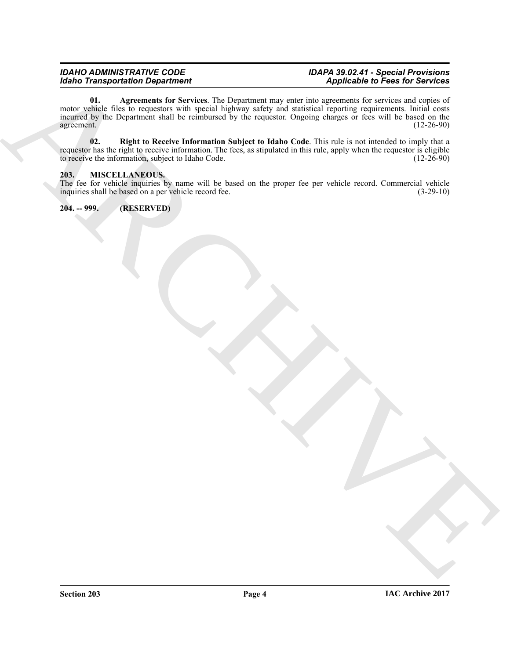#### <span id="page-3-3"></span>*IDAHO ADMINISTRATIVE CODE IDAPA 39.02.41 - Special Provisions Idaho Transportation Department Applicable to Fees for Services*

 $\frac{1}{2}$ <br>  $\frac{1}{2}$ <br>  $\frac{1}{2}$ <br>  $\frac{1}{2}$ <br>  $\frac{1}{2}$ <br>  $\frac{1}{2}$ <br>  $\frac{1}{2}$ <br>  $\frac{1}{2}$ <br>  $\frac{1}{2}$ <br>  $\frac{1}{2}$ <br>  $\frac{1}{2}$ <br>  $\frac{1}{2}$ <br>  $\frac{1}{2}$ <br>  $\frac{1}{2}$ <br>  $\frac{1}{2}$ <br>  $\frac{1}{2}$ <br>  $\frac{1}{2}$ <br>  $\frac{1}{2}$ <br>  $\frac{1}{2}$ <br>  $\frac{1}{2}$ <br> **01. Agreements for Services**. The Department may enter into agreements for services and copies of motor vehicle files to requestors with special highway safety and statistical reporting requirements. Initial costs incurred by the Department shall be reimbursed by the requestor. Ongoing charges or fees will be based on the agreement.  $(12-26-90)$ 

<span id="page-3-4"></span>**02. Right to Receive Information Subject to Idaho Code**. This rule is not intended to imply that a requestor has the right to receive information. The fees, as stipulated in this rule, apply when the requestor is eligible to receive the information, subject to Idaho Code. (12-26-90) to receive the information, subject to Idaho Code.

#### <span id="page-3-2"></span><span id="page-3-0"></span>**203. MISCELLANEOUS.**

The fee for vehicle inquiries by name will be based on the proper fee per vehicle record. Commercial vehicle inquiries shall be based on a per vehicle record fee. (3-29-10) inquiries shall be based on a per vehicle record fee.

<span id="page-3-1"></span>**204. -- 999. (RESERVED)**